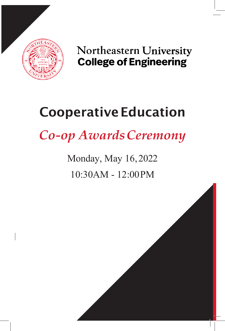

Northeastern University **College of Engineering** 

# **Cooperative Education**

*Co-op AwardsCeremony*

Monday, May 16,2022 10:30AM - 12:00PM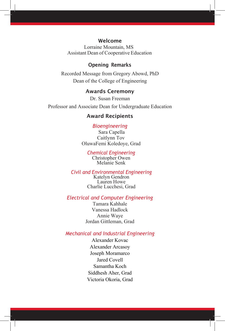#### Welcome

Lorraine Mountain, MS Assistant Dean of Cooperative Education

#### Opening Remarks

Recorded Message from Gregory Abowd, PhD Dean of the College of Engineering

#### Awards Ceremony

Dr. Susan Freeman Professor and Associate Dean for Undergraduate Education

#### Award Recipients

#### *Bioengineering*

 Sara Capella Caitlynn Tov OluwaFemi Koledoye, Grad

#### *Chemical Engineering* Christopher Owen

Melanie Senk

#### *Civil and Environmental Engineering*

Katelyn Gendron Lauren Howe Charlie Lucchesi, Grad

#### *Electrical and Computer Engineering*

Tamara Kahhale Vanessa Hadlock Annie Waye Jordan Gittleman, Grad

#### *Mechanical and Industrial Engineering*

Alexander Kovac Alexander Arcasoy Joseph Moramarco Jared Covell Samantha Koch Siddhesh Aher, Grad Victoria Okoria, Grad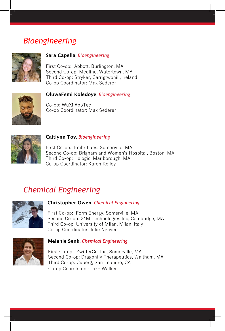## *Bioengineering*



#### Sara Capella, *Bioengineering*

First Co-op: Abbott, Burlington, MA Second Co-op: Medline, Watertown, MA Third Co-op: Stryker, Carrigtwohill, Ireland Co-op Coordinator: Max Sederer



#### OluwaFemi Koledoye, *Bioengineering*

Co-op: WuXi AppTec Co-op Coordinator: Max Sederer



#### Caitlynn Tov, *Bioengineering*

First Co-op: Embr Labs, Somerville, MA Second Co-op: Brigham and Women's Hospital, Boston, MA Third Co-op: Hologic, Marlborough, MA Co-op Coordinator: Karen Kelley

## *Chemical Engineering*



#### Christopher Owen, *Chemical Engineering*

First Co-op: Form Energy, Somerville, MA Second Co-op: 24M Technologies Inc, Cambridge, MA Third Co-op: University of Milan, Milan, Italy Co-op Coordinator: Julie Nguyen



#### Melanie Senk, *Chemical Engineering*

First Co-op: ZwitterCo, Inc, Somerville, MA Second Co-op: Dragonfly Therapeutics, Waltham, MA Third Co-op: Cuberg, San Leandro, CA Co-op Coordinator: Jake Walker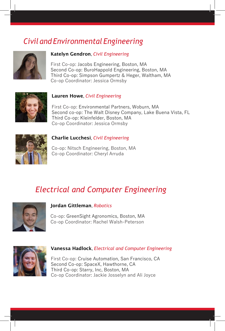## *Civil and Environmental Engineering*



#### Katelyn Gendron, *Civil Engineering*

First Co-op: Jacobs Engineering, Boston, MA Second Co-op: BuroHappold Engineering, Boston, MA Third Co-op: Simpson Gumpertz & Heger, Waltham, MA Co-op Coordinator: Jessica Ormsby



#### Lauren Howe, *Civil Engineering*

 First Co-op: Environmental Partners, Woburn, MA Second co-op: The Walt Disney Company, Lake Buena Vista, FL Third Co-op: Kleinfelder, Boston, MA Co-op Coordinator: Jessica Ormsby



#### Charlie Lucchesi, *Civil Engineering*

 Co-op: Nitsch Engineering, Boston, MA Co-op Coordinator: Cheryl Arruda

## *Electrical and Computer Engineering*



#### Jordan Gittleman, *Robotics*

Co-op: GreenSight Agronomics, Boston, MA Co-op Coordinator: Rachel Walsh-Peterson



#### Vanessa Hadlock, *Electrical and Computer Engineering*

First Co-op: Cruise Automation, San Francisco, CA Second Co-op: SpaceX, Hawthorne, CA Third Co-op: Starry, Inc, Boston, MA Co-op Coordinator: Jackie Josselyn and Ali Joyce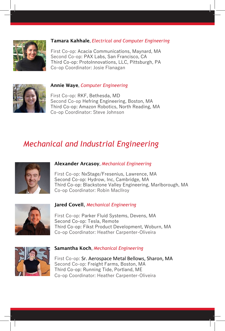

#### Tamara Kahhale, *Electrical and Computer Engineering*

First Co-op: Acacia Communications, Maynard, MA Second Co-op: PAX Labs, San Francisco, CA Third Co-op: ProtoInnovations, LLC, Pittsburgh, PA Co-op Coordinator: Josie Flanagan



#### Annie Waye, *Computer Engineering*

First Co-op: RKF, Bethesda, MD Second Co-op Hefring Engineering, Boston, MA Third Co-op: Amazon Robotics, North Reading, MA Co-op Coordinator: Steve Johnson

## *Mechanical and Industrial Engineering*



#### Alexander Arcasoy, *Mechanical Engineering*

 First Co-op: NxStage/Fresenius, Lawrence, MA Second Co-op: Hydrow, Inc, Cambridge, MA Third Co-op: Blackstone Valley Engineering, Marlborough, MA Co-op Coordinator: Robin Macllroy



#### Jared Covell, *Mechanical Engineering*

 First Co-op: Parker Fluid Systems, Devens, MA Second Co-op: Tesla, Remote Third Co-op: Fikst Product Development, Woburn, MA Co-op Coordinator: Heather Carpenter-Oliveira



#### Samantha Koch, *Mechanical Engineering*

 First Co-op: Sr. Aerospace Metal Bellows, Sharon, MA Second Co-op: Freight Farms, Boston, MA Third Co-op: Running Tide, Portland, ME Co-op Coordinator: Heather Carpenter-Oliveira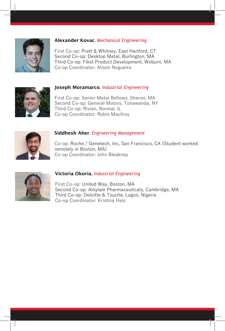

#### Alexander Kovac, *Mechanical Engineering*

 First Co-op: Pratt & Whitney, East Hartford, CT Second Co-op: Desktop Metal, Burlington, MA Third Co-op: Fikst Product Development, Woburn, MA Co-op Coordinator: Alison Nogueira

## Joseph Moramarco, *Industrial Engineering*

 First Co-op: Senior Metal Bellows, Sharon, MA Second Co-op: General Motors, Tonawanda, NY Third Co-op: Rivian, Normal, IL Co-op Coordinator: Robin Macllroy



#### Siddhesh Aher, *Engineering Management*

 Co-op: Roche / Genetech, Inc, San Francisco, CA (Student worked remotely in Boston, MA) Co-op Coordinator: John Bleakney



#### Victoria Okoria, *Industrial Engineering*

 First Co-op: United Way, Boston, MA Second Co-op: Alnylam Pharmaceuticals, Cambridge, MA Third Co-op: Deloitte & Touché, Lagos, Nigeria Co-op Coordinator: Kristina Hals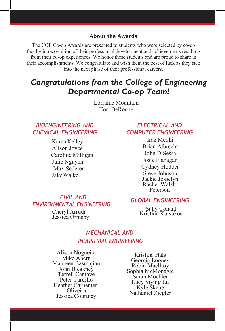#### About the Awards

The COE Co-op Awards are presented to students who were selected by co-op faculty in recognition of their professional development and achievements resulting from their co-op experiences. We honor these students and are proud to share in their accomplishments. We congratulate and wish them the best of luck as they step into the next phase of their professional careers.

### *Congratulations from the College of Engineering Departmental Co-op Team!*

Lorraine Mountain Tori DeRoche

#### *BIOENGINEERING AND CHEMICAL ENGINEERING*

Karen Kelley Alison Joyce Caroline Milligan Julie Nguyen Max Sederer JakeWalker

#### *ELECTRICAL AND COMPUTER ENGINEERING*

Iraz Medhi Brian Albrecht John DiSessa Josie Flanagan Cydney Hodder Steve Johnson Jackie Josselyn Rachel Walsh- Peterson

#### *CIVIL AND ENVIRONMENTAL ENGINEERING*

Cheryl Arruda Jessica Ormsby

#### *GLOBAL ENGINEERING*

Sally Conant Kristina Kutsukos

#### *MECHANICAL AND INDUSTRIAL ENGINEERING*

Alison Nogueira Mike Ahern Maureen Basmajian John Bleakney Terrell Cantave Peter Cardillo Heather Carpenter- Oliveira Jessica Courtney

Kristina Hals Georgia Looney Robin Macllroy Sophia McMonagle Sarah Mockler Lucy Siying Lu Kyle Skene Nathaniel Ziegler